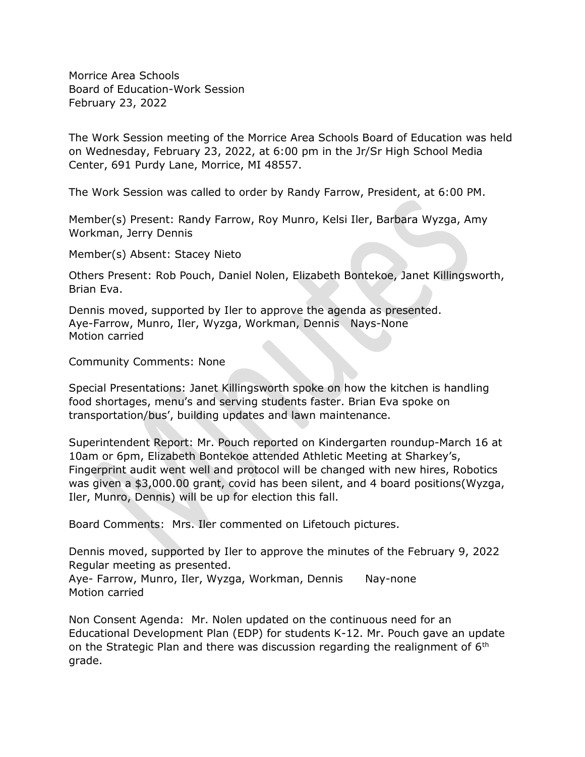Morrice Area Schools Board of Education-Work Session February 23, 2022

The Work Session meeting of the Morrice Area Schools Board of Education was held on Wednesday, February 23, 2022, at 6:00 pm in the Jr/Sr High School Media Center, 691 Purdy Lane, Morrice, MI 48557.

The Work Session was called to order by Randy Farrow, President, at 6:00 PM.

Member(s) Present: Randy Farrow, Roy Munro, Kelsi Iler, Barbara Wyzga, Amy Workman, Jerry Dennis

Member(s) Absent: Stacey Nieto

Others Present: Rob Pouch, Daniel Nolen, Elizabeth Bontekoe, Janet Killingsworth, Brian Eva.

Dennis moved, supported by Iler to approve the agenda as presented. Aye-Farrow, Munro, Iler, Wyzga, Workman, Dennis Nays-None Motion carried

Community Comments: None

Special Presentations: Janet Killingsworth spoke on how the kitchen is handling food shortages, menu's and serving students faster. Brian Eva spoke on transportation/bus', building updates and lawn maintenance.

Superintendent Report: Mr. Pouch reported on Kindergarten roundup-March 16 at 10am or 6pm, Elizabeth Bontekoe attended Athletic Meeting at Sharkey's, Fingerprint audit went well and protocol will be changed with new hires, Robotics was given a \$3,000.00 grant, covid has been silent, and 4 board positions(Wyzga, Iler, Munro, Dennis) will be up for election this fall.

Board Comments: Mrs. Iler commented on Lifetouch pictures.

Dennis moved, supported by Iler to approve the minutes of the February 9, 2022 Regular meeting as presented.

Aye- Farrow, Munro, Iler, Wyzga, Workman, Dennis Nay-none Motion carried

Non Consent Agenda: Mr. Nolen updated on the continuous need for an Educational Development Plan (EDP) for students K-12. Mr. Pouch gave an update on the Strategic Plan and there was discussion regarding the realignment of  $6<sup>th</sup>$ grade.